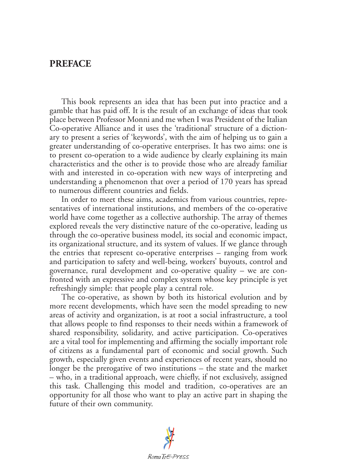## **PREFACE**

This book represents an idea that has been put into practice and a gamble that has paid off. It is the result of an exchange of ideas that took place between Professor Monni and me when I was President of the Italian Co-operative Alliance and it uses the 'traditional' structure of a dictionary to present a series of 'keywords', with the aim of helping us to gain a greater understanding of co-operative enterprises. It has two aims: one is to present co-operation to a wide audience by clearly explaining its main characteristics and the other is to provide those who are already familiar with and interested in co-operation with new ways of interpreting and understanding a phenomenon that over a period of 170 years has spread to numerous different countries and fields.

In order to meet these aims, academics from various countries, representatives of international institutions, and members of the co-operative world have come together as a collective authorship. The array of themes explored reveals the very distinctive nature of the co-operative, leading us through the co-operative business model, its social and economic impact, its organizational structure, and its system of values. If we glance through the entries that represent co-operative enterprises – ranging from work and participation to safety and well-being, workers' buyouts, control and governance, rural development and co-operative quality – we are confronted with an expressive and complex system whose key principle is yet refreshingly simple: that people play a central role.

The co-operative, as shown by both its historical evolution and by more recent developments, which have seen the model spreading to new areas of activity and organization, is at root a social infrastructure, a tool that allows people to find responses to their needs within a framework of shared responsibility, solidarity, and active participation. Co-operatives are a vital tool for implementing and affirming the socially important role of citizens as a fundamental part of economic and social growth. Such growth, especially given events and experiences of recent years, should no longer be the prerogative of two institutions – the state and the market – who, in a traditional approach, were chiefly, if not exclusively, assigned this task. Challenging this model and tradition, co-operatives are an opportunity for all those who want to play an active part in shaping the future of their own community.